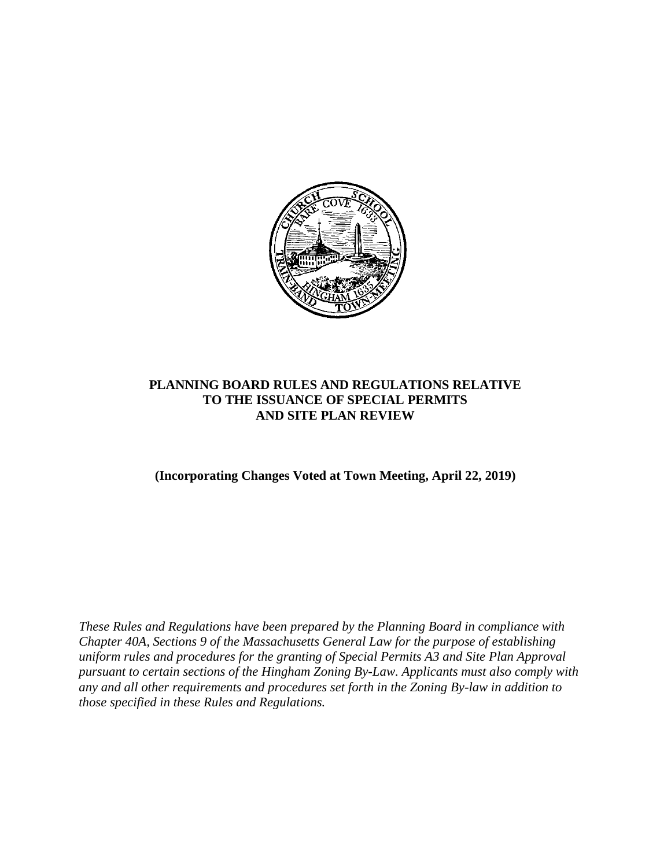

# **PLANNING BOARD RULES AND REGULATIONS RELATIVE TO THE ISSUANCE OF SPECIAL PERMITS AND SITE PLAN REVIEW**

**(Incorporating Changes Voted at Town Meeting, April 22, 2019)**

*These Rules and Regulations have been prepared by the Planning Board in compliance with Chapter 40A, Sections 9 of the Massachusetts General Law for the purpose of establishing uniform rules and procedures for the granting of Special Permits A3 and Site Plan Approval pursuant to certain sections of the Hingham Zoning By-Law. Applicants must also comply with any and all other requirements and procedures set forth in the Zoning By-law in addition to those specified in these Rules and Regulations.*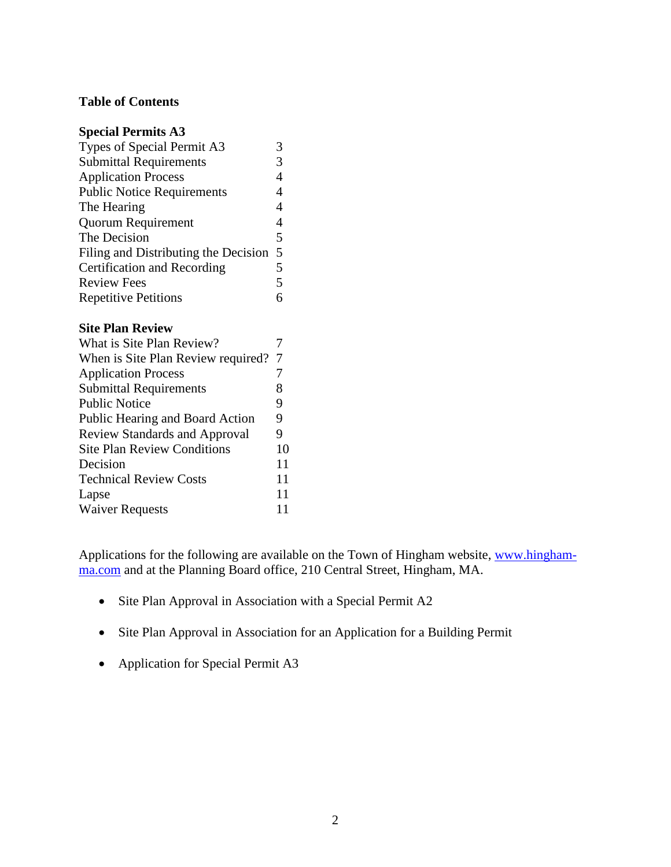#### **Table of Contents**

| <b>Special Permits A3</b>            |                |
|--------------------------------------|----------------|
| Types of Special Permit A3           | 3              |
| <b>Submittal Requirements</b>        | 3              |
| <b>Application Process</b>           | $\overline{4}$ |
| <b>Public Notice Requirements</b>    | $\overline{4}$ |
| The Hearing                          | 4              |
| <b>Quorum Requirement</b>            | 4              |
| The Decision                         | 5              |
| Filing and Distributing the Decision | 5              |
| Certification and Recording          | 5              |
| <b>Review Fees</b>                   | 5              |
| <b>Repetitive Petitions</b>          | 6              |
| <b>Site Plan Review</b>              |                |
| What is Site Plan Review?            | 7              |
| When is Site Plan Review required?   | 7              |
| <b>Application Process</b>           | 7              |
| <b>Submittal Requirements</b>        | 8              |
| <b>Public Notice</b>                 | 9              |
| Public Hearing and Board Action      | 9              |
| <b>Review Standards and Approval</b> | 9              |
| <b>Site Plan Review Conditions</b>   | 10             |
| Decision                             | 11             |
| <b>Technical Review Costs</b>        | 11             |
|                                      | 11             |
| Lapse                                |                |

Applications for the following are available on the Town of Hingham website, [www.hingham](http://www.hingham-ma.com/)[ma.com](http://www.hingham-ma.com/) and at the Planning Board office, 210 Central Street, Hingham, MA.

- Site Plan Approval in Association with a Special Permit A2
- Site Plan Approval in Association for an Application for a Building Permit
- Application for Special Permit A3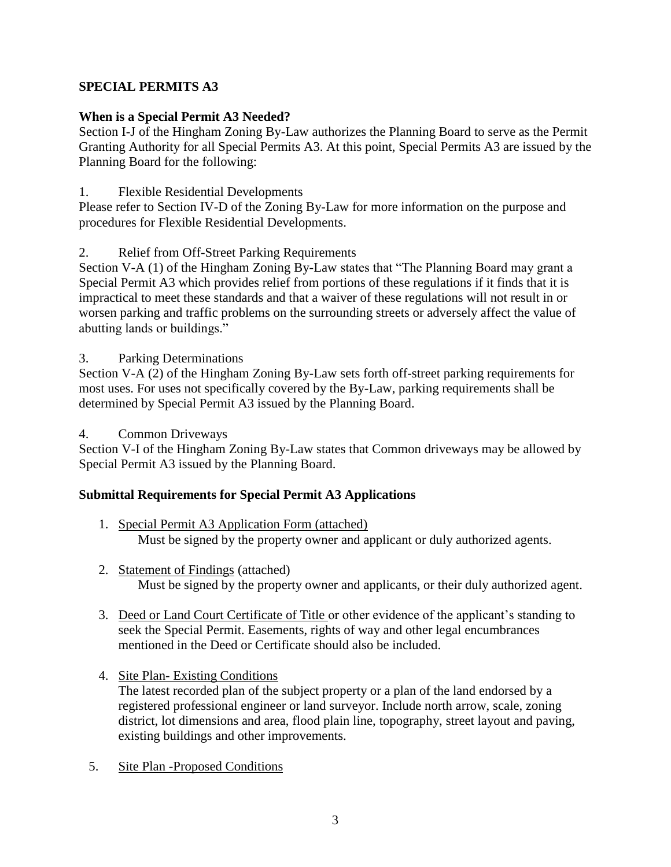# **SPECIAL PERMITS A3**

# **When is a Special Permit A3 Needed?**

Section I-J of the Hingham Zoning By-Law authorizes the Planning Board to serve as the Permit Granting Authority for all Special Permits A3. At this point, Special Permits A3 are issued by the Planning Board for the following:

# 1. Flexible Residential Developments

Please refer to Section IV-D of the Zoning By-Law for more information on the purpose and procedures for Flexible Residential Developments.

# 2. Relief from Off-Street Parking Requirements

Section V-A (1) of the Hingham Zoning By-Law states that "The Planning Board may grant a Special Permit A3 which provides relief from portions of these regulations if it finds that it is impractical to meet these standards and that a waiver of these regulations will not result in or worsen parking and traffic problems on the surrounding streets or adversely affect the value of abutting lands or buildings."

3. Parking Determinations

Section V-A (2) of the Hingham Zoning By-Law sets forth off-street parking requirements for most uses. For uses not specifically covered by the By-Law, parking requirements shall be determined by Special Permit A3 issued by the Planning Board.

4. Common Driveways

Section V-I of the Hingham Zoning By-Law states that Common driveways may be allowed by Special Permit A3 issued by the Planning Board.

# **Submittal Requirements for Special Permit A3 Applications**

- 1. Special Permit A3 Application Form (attached) Must be signed by the property owner and applicant or duly authorized agents.
- 2. Statement of Findings (attached) Must be signed by the property owner and applicants, or their duly authorized agent.
- 3. Deed or Land Court Certificate of Title or other evidence of the applicant's standing to seek the Special Permit. Easements, rights of way and other legal encumbrances mentioned in the Deed or Certificate should also be included.
- 4. Site Plan- Existing Conditions The latest recorded plan of the subject property or a plan of the land endorsed by a registered professional engineer or land surveyor. Include north arrow, scale, zoning district, lot dimensions and area, flood plain line, topography, street layout and paving, existing buildings and other improvements.
- 5. Site Plan -Proposed Conditions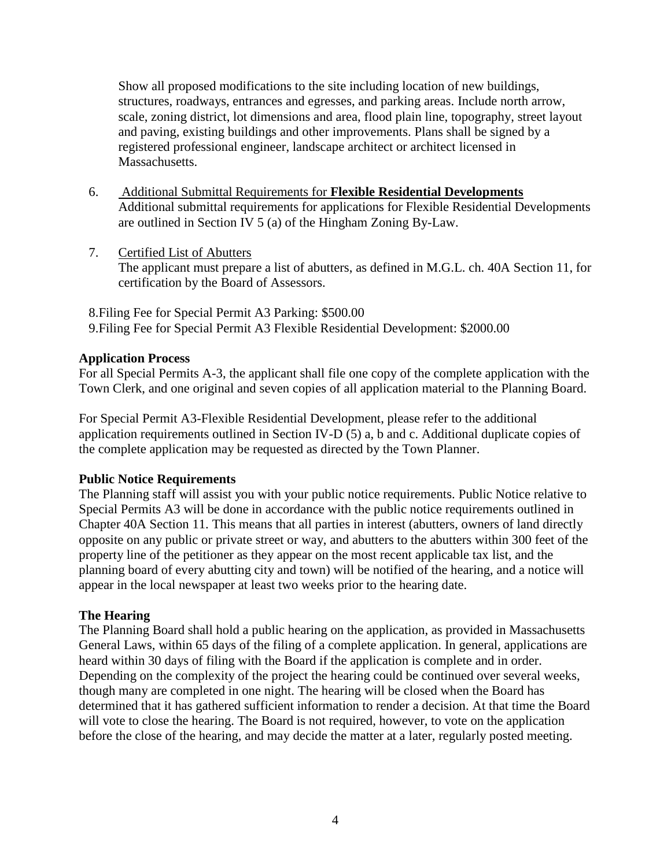Show all proposed modifications to the site including location of new buildings, structures, roadways, entrances and egresses, and parking areas. Include north arrow, scale, zoning district, lot dimensions and area, flood plain line, topography, street layout and paving, existing buildings and other improvements. Plans shall be signed by a registered professional engineer, landscape architect or architect licensed in Massachusetts.

- 6. Additional Submittal Requirements for **Flexible Residential Developments** Additional submittal requirements for applications for Flexible Residential Developments are outlined in Section IV 5 (a) of the Hingham Zoning By-Law.
- 7. Certified List of Abutters The applicant must prepare a list of abutters, as defined in M.G.L. ch. 40A Section 11, for certification by the Board of Assessors.

8.Filing Fee for Special Permit A3 Parking: \$500.00 9.Filing Fee for Special Permit A3 Flexible Residential Development: \$2000.00

#### **Application Process**

For all Special Permits A-3, the applicant shall file one copy of the complete application with the Town Clerk, and one original and seven copies of all application material to the Planning Board.

For Special Permit A3-Flexible Residential Development, please refer to the additional application requirements outlined in Section IV-D (5) a, b and c. Additional duplicate copies of the complete application may be requested as directed by the Town Planner.

#### **Public Notice Requirements**

The Planning staff will assist you with your public notice requirements. Public Notice relative to Special Permits A3 will be done in accordance with the public notice requirements outlined in Chapter 40A Section 11. This means that all parties in interest (abutters, owners of land directly opposite on any public or private street or way, and abutters to the abutters within 300 feet of the property line of the petitioner as they appear on the most recent applicable tax list, and the planning board of every abutting city and town) will be notified of the hearing, and a notice will appear in the local newspaper at least two weeks prior to the hearing date.

#### **The Hearing**

The Planning Board shall hold a public hearing on the application, as provided in Massachusetts General Laws, within 65 days of the filing of a complete application. In general, applications are heard within 30 days of filing with the Board if the application is complete and in order. Depending on the complexity of the project the hearing could be continued over several weeks, though many are completed in one night. The hearing will be closed when the Board has determined that it has gathered sufficient information to render a decision. At that time the Board will vote to close the hearing. The Board is not required, however, to vote on the application before the close of the hearing, and may decide the matter at a later, regularly posted meeting.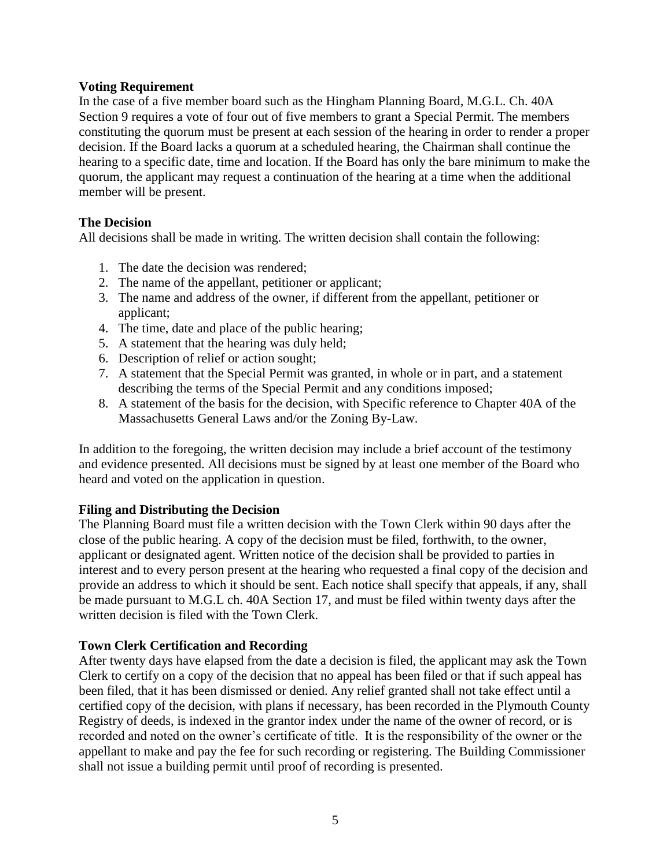#### **Voting Requirement**

In the case of a five member board such as the Hingham Planning Board, M.G.L. Ch. 40A Section 9 requires a vote of four out of five members to grant a Special Permit. The members constituting the quorum must be present at each session of the hearing in order to render a proper decision. If the Board lacks a quorum at a scheduled hearing, the Chairman shall continue the hearing to a specific date, time and location. If the Board has only the bare minimum to make the quorum, the applicant may request a continuation of the hearing at a time when the additional member will be present.

#### **The Decision**

All decisions shall be made in writing. The written decision shall contain the following:

- 1. The date the decision was rendered;
- 2. The name of the appellant, petitioner or applicant;
- 3. The name and address of the owner, if different from the appellant, petitioner or applicant;
- 4. The time, date and place of the public hearing;
- 5. A statement that the hearing was duly held;
- 6. Description of relief or action sought;
- 7. A statement that the Special Permit was granted, in whole or in part, and a statement describing the terms of the Special Permit and any conditions imposed;
- 8. A statement of the basis for the decision, with Specific reference to Chapter 40A of the Massachusetts General Laws and/or the Zoning By-Law.

In addition to the foregoing, the written decision may include a brief account of the testimony and evidence presented. All decisions must be signed by at least one member of the Board who heard and voted on the application in question.

#### **Filing and Distributing the Decision**

The Planning Board must file a written decision with the Town Clerk within 90 days after the close of the public hearing. A copy of the decision must be filed, forthwith, to the owner, applicant or designated agent. Written notice of the decision shall be provided to parties in interest and to every person present at the hearing who requested a final copy of the decision and provide an address to which it should be sent. Each notice shall specify that appeals, if any, shall be made pursuant to M.G.L ch. 40A Section 17, and must be filed within twenty days after the written decision is filed with the Town Clerk.

#### **Town Clerk Certification and Recording**

After twenty days have elapsed from the date a decision is filed, the applicant may ask the Town Clerk to certify on a copy of the decision that no appeal has been filed or that if such appeal has been filed, that it has been dismissed or denied. Any relief granted shall not take effect until a certified copy of the decision, with plans if necessary, has been recorded in the Plymouth County Registry of deeds, is indexed in the grantor index under the name of the owner of record, or is recorded and noted on the owner's certificate of title. It is the responsibility of the owner or the appellant to make and pay the fee for such recording or registering. The Building Commissioner shall not issue a building permit until proof of recording is presented.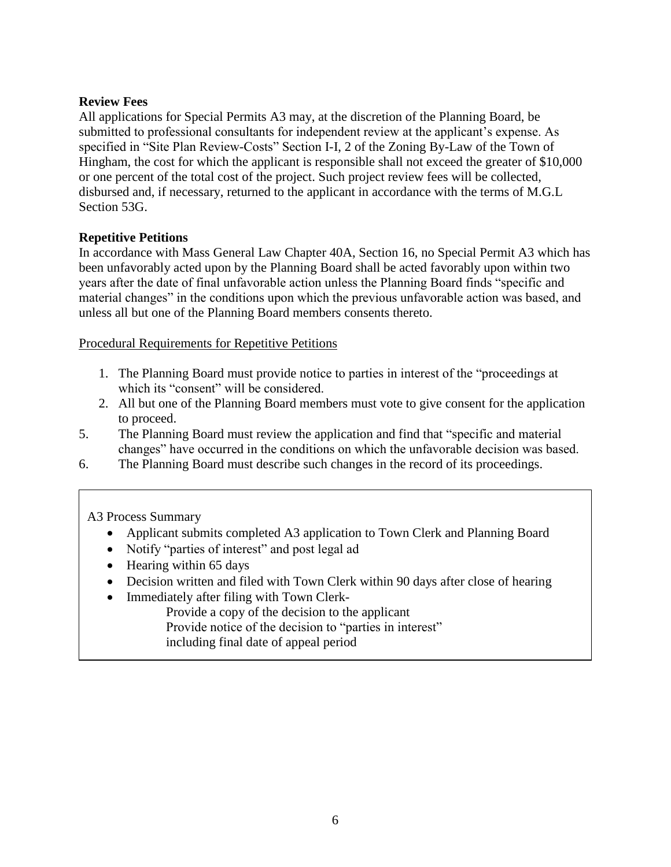# **Review Fees**

All applications for Special Permits A3 may, at the discretion of the Planning Board, be submitted to professional consultants for independent review at the applicant's expense. As specified in "Site Plan Review-Costs" Section I-I, 2 of the Zoning By-Law of the Town of Hingham, the cost for which the applicant is responsible shall not exceed the greater of \$10,000 or one percent of the total cost of the project. Such project review fees will be collected, disbursed and, if necessary, returned to the applicant in accordance with the terms of M.G.L Section 53G.

#### **Repetitive Petitions**

In accordance with Mass General Law Chapter 40A, Section 16, no Special Permit A3 which has been unfavorably acted upon by the Planning Board shall be acted favorably upon within two years after the date of final unfavorable action unless the Planning Board finds "specific and material changes" in the conditions upon which the previous unfavorable action was based, and unless all but one of the Planning Board members consents thereto.

Procedural Requirements for Repetitive Petitions

- 1. The Planning Board must provide notice to parties in interest of the "proceedings at which its "consent" will be considered.
- 2. All but one of the Planning Board members must vote to give consent for the application to proceed.
- 5. The Planning Board must review the application and find that "specific and material changes" have occurred in the conditions on which the unfavorable decision was based.
- 6. The Planning Board must describe such changes in the record of its proceedings.

A3 Process Summary

- Applicant submits completed A3 application to Town Clerk and Planning Board
- Notify "parties of interest" and post legal ad
- Hearing within 65 days
- Decision written and filed with Town Clerk within 90 days after close of hearing
- Immediately after filing with Town Clerk-
	- Provide a copy of the decision to the applicant
	- Provide notice of the decision to "parties in interest"
	- including final date of appeal period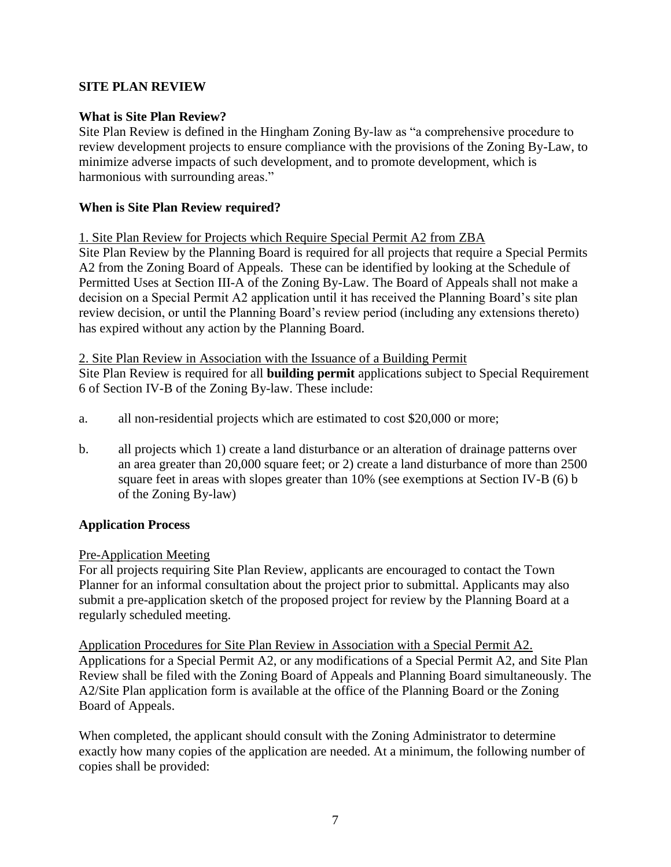# **SITE PLAN REVIEW**

#### **What is Site Plan Review?**

Site Plan Review is defined in the Hingham Zoning By-law as "a comprehensive procedure to review development projects to ensure compliance with the provisions of the Zoning By-Law, to minimize adverse impacts of such development, and to promote development, which is harmonious with surrounding areas."

#### **When is Site Plan Review required?**

#### 1. Site Plan Review for Projects which Require Special Permit A2 from ZBA

Site Plan Review by the Planning Board is required for all projects that require a Special Permits A2 from the Zoning Board of Appeals. These can be identified by looking at the Schedule of Permitted Uses at Section III-A of the Zoning By-Law. The Board of Appeals shall not make a decision on a Special Permit A2 application until it has received the Planning Board's site plan review decision, or until the Planning Board's review period (including any extensions thereto) has expired without any action by the Planning Board.

2. Site Plan Review in Association with the Issuance of a Building Permit

Site Plan Review is required for all **building permit** applications subject to Special Requirement 6 of Section IV-B of the Zoning By-law. These include:

- a. all non-residential projects which are estimated to cost \$20,000 or more;
- b. all projects which 1) create a land disturbance or an alteration of drainage patterns over an area greater than 20,000 square feet; or 2) create a land disturbance of more than 2500 square feet in areas with slopes greater than 10% (see exemptions at Section IV-B (6) b of the Zoning By-law)

# **Application Process**

#### Pre-Application Meeting

For all projects requiring Site Plan Review, applicants are encouraged to contact the Town Planner for an informal consultation about the project prior to submittal. Applicants may also submit a pre-application sketch of the proposed project for review by the Planning Board at a regularly scheduled meeting.

Application Procedures for Site Plan Review in Association with a Special Permit A2. Applications for a Special Permit A2, or any modifications of a Special Permit A2, and Site Plan Review shall be filed with the Zoning Board of Appeals and Planning Board simultaneously. The A2/Site Plan application form is available at the office of the Planning Board or the Zoning Board of Appeals.

When completed, the applicant should consult with the Zoning Administrator to determine exactly how many copies of the application are needed. At a minimum, the following number of copies shall be provided: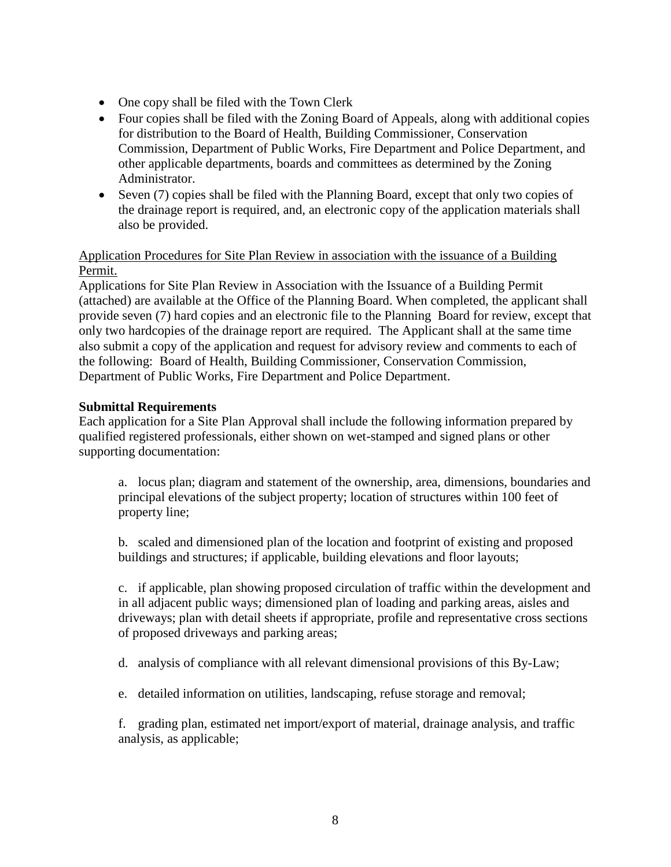- One copy shall be filed with the Town Clerk
- Four copies shall be filed with the Zoning Board of Appeals, along with additional copies for distribution to the Board of Health, Building Commissioner, Conservation Commission, Department of Public Works, Fire Department and Police Department, and other applicable departments, boards and committees as determined by the Zoning Administrator.
- Seven (7) copies shall be filed with the Planning Board, except that only two copies of the drainage report is required, and, an electronic copy of the application materials shall also be provided.

## Application Procedures for Site Plan Review in association with the issuance of a Building Permit.

Applications for Site Plan Review in Association with the Issuance of a Building Permit (attached) are available at the Office of the Planning Board. When completed, the applicant shall provide seven (7) hard copies and an electronic file to the Planning Board for review, except that only two hardcopies of the drainage report are required. The Applicant shall at the same time also submit a copy of the application and request for advisory review and comments to each of the following: Board of Health, Building Commissioner, Conservation Commission, Department of Public Works, Fire Department and Police Department.

#### **Submittal Requirements**

Each application for a Site Plan Approval shall include the following information prepared by qualified registered professionals, either shown on wet-stamped and signed plans or other supporting documentation:

a. locus plan; diagram and statement of the ownership, area, dimensions, boundaries and principal elevations of the subject property; location of structures within 100 feet of property line;

b. scaled and dimensioned plan of the location and footprint of existing and proposed buildings and structures; if applicable, building elevations and floor layouts;

c. if applicable, plan showing proposed circulation of traffic within the development and in all adjacent public ways; dimensioned plan of loading and parking areas, aisles and driveways; plan with detail sheets if appropriate, profile and representative cross sections of proposed driveways and parking areas;

d. analysis of compliance with all relevant dimensional provisions of this By-Law;

e. detailed information on utilities, landscaping, refuse storage and removal;

f. grading plan, estimated net import/export of material, drainage analysis, and traffic analysis, as applicable;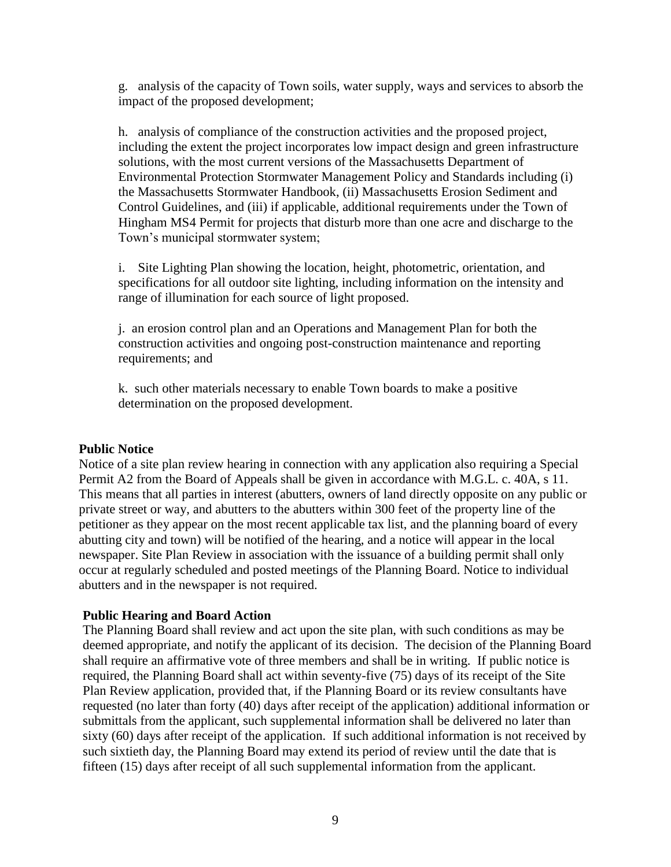g. analysis of the capacity of Town soils, water supply, ways and services to absorb the impact of the proposed development;

h. analysis of compliance of the construction activities and the proposed project, including the extent the project incorporates low impact design and green infrastructure solutions, with the most current versions of the Massachusetts Department of Environmental Protection Stormwater Management Policy and Standards including (i) the Massachusetts Stormwater Handbook, (ii) Massachusetts Erosion Sediment and Control Guidelines, and (iii) if applicable, additional requirements under the Town of Hingham MS4 Permit for projects that disturb more than one acre and discharge to the Town's municipal stormwater system;

i. Site Lighting Plan showing the location, height, photometric, orientation, and specifications for all outdoor site lighting, including information on the intensity and range of illumination for each source of light proposed.

j. an erosion control plan and an Operations and Management Plan for both the construction activities and ongoing post-construction maintenance and reporting requirements; and

k. such other materials necessary to enable Town boards to make a positive determination on the proposed development.

#### **Public Notice**

Notice of a site plan review hearing in connection with any application also requiring a Special Permit A2 from the Board of Appeals shall be given in accordance with M.G.L. c. 40A, s 11. This means that all parties in interest (abutters, owners of land directly opposite on any public or private street or way, and abutters to the abutters within 300 feet of the property line of the petitioner as they appear on the most recent applicable tax list, and the planning board of every abutting city and town) will be notified of the hearing, and a notice will appear in the local newspaper. Site Plan Review in association with the issuance of a building permit shall only occur at regularly scheduled and posted meetings of the Planning Board. Notice to individual abutters and in the newspaper is not required.

#### **Public Hearing and Board Action**

The Planning Board shall review and act upon the site plan, with such conditions as may be deemed appropriate, and notify the applicant of its decision. The decision of the Planning Board shall require an affirmative vote of three members and shall be in writing. If public notice is required, the Planning Board shall act within seventy-five (75) days of its receipt of the Site Plan Review application, provided that, if the Planning Board or its review consultants have requested (no later than forty (40) days after receipt of the application) additional information or submittals from the applicant, such supplemental information shall be delivered no later than sixty (60) days after receipt of the application. If such additional information is not received by such sixtieth day, the Planning Board may extend its period of review until the date that is fifteen (15) days after receipt of all such supplemental information from the applicant.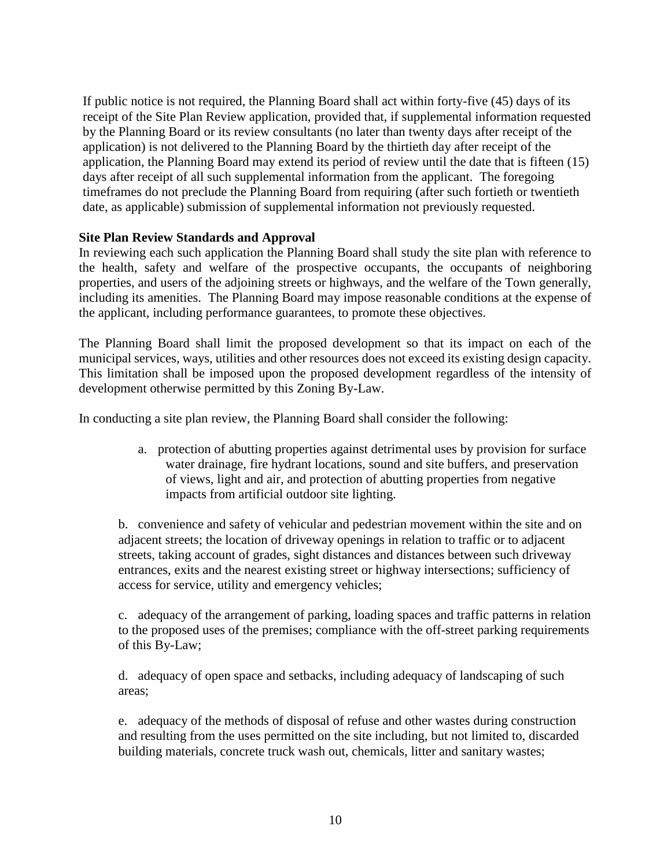If public notice is not required, the Planning Board shall act within forty-five (45) days of its receipt of the Site Plan Review application, provided that, if supplemental information requested by the Planning Board or its review consultants (no later than twenty days after receipt of the application) is not delivered to the Planning Board by the thirtieth day after receipt of the application, the Planning Board may extend its period of review until the date that is fifteen (15) days after receipt of all such supplemental information from the applicant. The foregoing timeframes do not preclude the Planning Board from requiring (after such fortieth or twentieth date, as applicable) submission of supplemental information not previously requested.

#### **Site Plan Review Standards and Approval**

In reviewing each such application the Planning Board shall study the site plan with reference to the health, safety and welfare of the prospective occupants, the occupants of neighboring properties, and users of the adjoining streets or highways, and the welfare of the Town generally, including its amenities. The Planning Board may impose reasonable conditions at the expense of the applicant, including performance guarantees, to promote these objectives.

The Planning Board shall limit the proposed development so that its impact on each of the municipal services, ways, utilities and other resources does not exceed its existing design capacity. This limitation shall be imposed upon the proposed development regardless of the intensity of development otherwise permitted by this Zoning By-Law.

In conducting a site plan review, the Planning Board shall consider the following:

a. protection of abutting properties against detrimental uses by provision for surface water drainage, fire hydrant locations, sound and site buffers, and preservation of views, light and air, and protection of abutting properties from negative impacts from artificial outdoor site lighting.

b. convenience and safety of vehicular and pedestrian movement within the site and on adjacent streets; the location of driveway openings in relation to traffic or to adjacent streets, taking account of grades, sight distances and distances between such driveway entrances, exits and the nearest existing street or highway intersections; sufficiency of access for service, utility and emergency vehicles;

c. adequacy of the arrangement of parking, loading spaces and traffic patterns in relation to the proposed uses of the premises; compliance with the off-street parking requirements of this By-Law;

d. adequacy of open space and setbacks, including adequacy of landscaping of such areas;

e. adequacy of the methods of disposal of refuse and other wastes during construction and resulting from the uses permitted on the site including, but not limited to, discarded building materials, concrete truck wash out, chemicals, litter and sanitary wastes;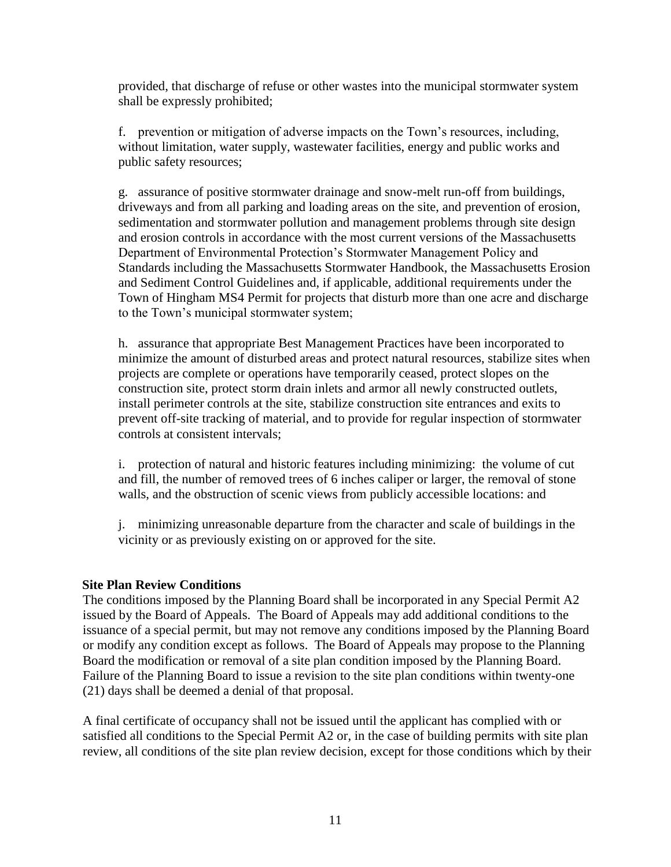provided, that discharge of refuse or other wastes into the municipal stormwater system shall be expressly prohibited;

f. prevention or mitigation of adverse impacts on the Town's resources, including, without limitation, water supply, wastewater facilities, energy and public works and public safety resources;

g. assurance of positive stormwater drainage and snow-melt run-off from buildings, driveways and from all parking and loading areas on the site, and prevention of erosion, sedimentation and stormwater pollution and management problems through site design and erosion controls in accordance with the most current versions of the Massachusetts Department of Environmental Protection's Stormwater Management Policy and Standards including the Massachusetts Stormwater Handbook, the Massachusetts Erosion and Sediment Control Guidelines and, if applicable, additional requirements under the Town of Hingham MS4 Permit for projects that disturb more than one acre and discharge to the Town's municipal stormwater system;

h. assurance that appropriate Best Management Practices have been incorporated to minimize the amount of disturbed areas and protect natural resources, stabilize sites when projects are complete or operations have temporarily ceased, protect slopes on the construction site, protect storm drain inlets and armor all newly constructed outlets, install perimeter controls at the site, stabilize construction site entrances and exits to prevent off-site tracking of material, and to provide for regular inspection of stormwater controls at consistent intervals;

i. protection of natural and historic features including minimizing: the volume of cut and fill, the number of removed trees of 6 inches caliper or larger, the removal of stone walls, and the obstruction of scenic views from publicly accessible locations: and

j. minimizing unreasonable departure from the character and scale of buildings in the vicinity or as previously existing on or approved for the site.

#### **Site Plan Review Conditions**

The conditions imposed by the Planning Board shall be incorporated in any Special Permit A2 issued by the Board of Appeals. The Board of Appeals may add additional conditions to the issuance of a special permit, but may not remove any conditions imposed by the Planning Board or modify any condition except as follows. The Board of Appeals may propose to the Planning Board the modification or removal of a site plan condition imposed by the Planning Board. Failure of the Planning Board to issue a revision to the site plan conditions within twenty-one (21) days shall be deemed a denial of that proposal.

A final certificate of occupancy shall not be issued until the applicant has complied with or satisfied all conditions to the Special Permit A2 or, in the case of building permits with site plan review, all conditions of the site plan review decision, except for those conditions which by their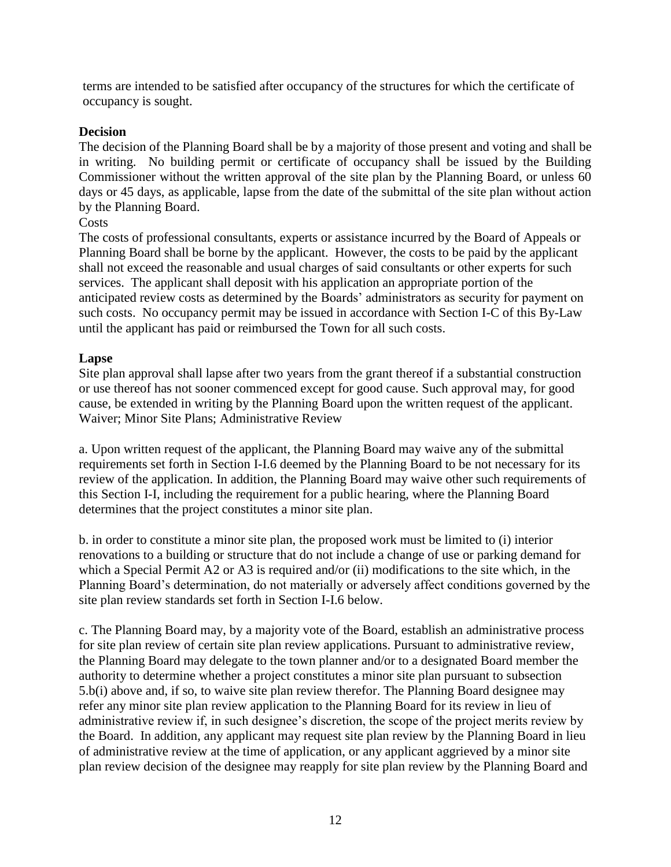terms are intended to be satisfied after occupancy of the structures for which the certificate of occupancy is sought.

#### **Decision**

The decision of the Planning Board shall be by a majority of those present and voting and shall be in writing. No building permit or certificate of occupancy shall be issued by the Building Commissioner without the written approval of the site plan by the Planning Board, or unless 60 days or 45 days, as applicable, lapse from the date of the submittal of the site plan without action by the Planning Board.

#### **Costs**

The costs of professional consultants, experts or assistance incurred by the Board of Appeals or Planning Board shall be borne by the applicant. However, the costs to be paid by the applicant shall not exceed the reasonable and usual charges of said consultants or other experts for such services. The applicant shall deposit with his application an appropriate portion of the anticipated review costs as determined by the Boards' administrators as security for payment on such costs. No occupancy permit may be issued in accordance with Section I-C of this By-Law until the applicant has paid or reimbursed the Town for all such costs.

#### **Lapse**

Site plan approval shall lapse after two years from the grant thereof if a substantial construction or use thereof has not sooner commenced except for good cause. Such approval may, for good cause, be extended in writing by the Planning Board upon the written request of the applicant. Waiver; Minor Site Plans; Administrative Review

a. Upon written request of the applicant, the Planning Board may waive any of the submittal requirements set forth in Section I-I.6 deemed by the Planning Board to be not necessary for its review of the application. In addition, the Planning Board may waive other such requirements of this Section I-I, including the requirement for a public hearing, where the Planning Board determines that the project constitutes a minor site plan.

b. in order to constitute a minor site plan, the proposed work must be limited to (i) interior renovations to a building or structure that do not include a change of use or parking demand for which a Special Permit A2 or A3 is required and/or (ii) modifications to the site which, in the Planning Board's determination, do not materially or adversely affect conditions governed by the site plan review standards set forth in Section I-I.6 below.

c. The Planning Board may, by a majority vote of the Board, establish an administrative process for site plan review of certain site plan review applications. Pursuant to administrative review, the Planning Board may delegate to the town planner and/or to a designated Board member the authority to determine whether a project constitutes a minor site plan pursuant to subsection 5.b(i) above and, if so, to waive site plan review therefor. The Planning Board designee may refer any minor site plan review application to the Planning Board for its review in lieu of administrative review if, in such designee's discretion, the scope of the project merits review by the Board. In addition, any applicant may request site plan review by the Planning Board in lieu of administrative review at the time of application, or any applicant aggrieved by a minor site plan review decision of the designee may reapply for site plan review by the Planning Board and